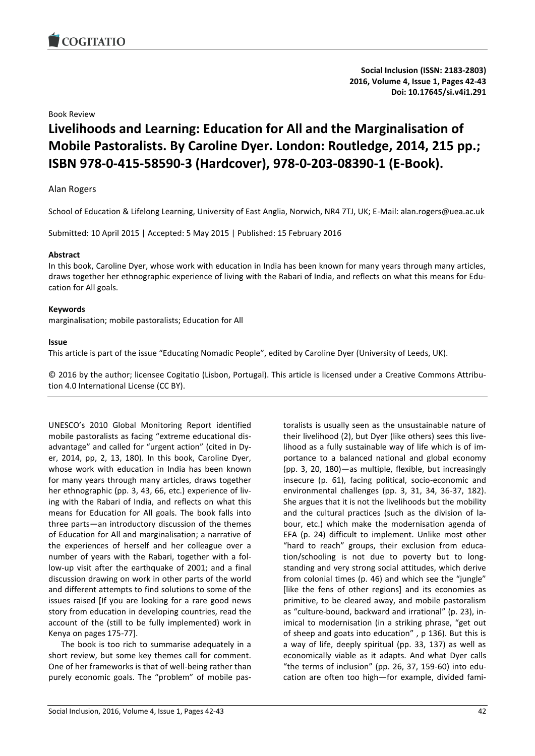

**Social Inclusion (ISSN: 2183-2803) 2016, Volume 4, Issue 1, Pages 42-43 Doi: 10.17645/si.v4i1.291**

Book Review

# **Livelihoods and Learning: Education for All and the Marginalisation of Mobile Pastoralists. By Caroline Dyer. London: Routledge, 2014, 215 pp.; ISBN 978-0-415-58590-3 (Hardcover), 978-0-203-08390-1 (E-Book).**

# Alan Rogers

School of Education & Lifelong Learning, University of East Anglia, Norwich, NR4 7TJ, UK; E-Mail: alan.rogers@uea.ac.uk

Submitted: 10 April 2015 | Accepted: 5 May 2015 | Published: 15 February 2016

### **Abstract**

In this book, Caroline Dyer, whose work with education in India has been known for many years through many articles, draws together her ethnographic experience of living with the Rabari of India, and reflects on what this means for Education for All goals.

### **Keywords**

marginalisation; mobile pastoralists; Education for All

### **Issue**

This article is part of the issue "Educating Nomadic People", edited by Caroline Dyer (University of Leeds, UK).

© 2016 by the author; licensee Cogitatio (Lisbon, Portugal). This article is licensed under a Creative Commons Attribution 4.0 International License (CC BY).

UNESCO's 2010 Global Monitoring Report identified mobile pastoralists as facing "extreme educational disadvantage" and called for "urgent action" (cited in Dyer, 2014, pp, 2, 13, 180). In this book, Caroline Dyer, whose work with education in India has been known for many years through many articles, draws together her ethnographic (pp. 3, 43, 66, etc.) experience of living with the Rabari of India, and reflects on what this means for Education for All goals. The book falls into three parts—an introductory discussion of the themes of Education for All and marginalisation; a narrative of the experiences of herself and her colleague over a number of years with the Rabari, together with a follow-up visit after the earthquake of 2001; and a final discussion drawing on work in other parts of the world and different attempts to find solutions to some of the issues raised [If you are looking for a rare good news story from education in developing countries, read the account of the (still to be fully implemented) work in Kenya on pages 175-77].

The book is too rich to summarise adequately in a short review, but some key themes call for comment. One of her frameworks is that of well-being rather than purely economic goals. The "problem" of mobile pastoralists is usually seen as the unsustainable nature of their livelihood (2), but Dyer (like others) sees this livelihood as a fully sustainable way of life which is of importance to a balanced national and global economy (pp. 3, 20, 180)—as multiple, flexible, but increasingly insecure (p. 61), facing political, socio-economic and environmental challenges (pp. 3, 31, 34, 36-37, 182). She argues that it is not the livelihoods but the mobility and the cultural practices (such as the division of labour, etc.) which make the modernisation agenda of EFA (p. 24) difficult to implement. Unlike most other "hard to reach" groups, their exclusion from education/schooling is not due to poverty but to longstanding and very strong social attitudes, which derive from colonial times (p. 46) and which see the "jungle" [like the fens of other regions] and its economies as primitive, to be cleared away, and mobile pastoralism as "culture-bound, backward and irrational" (p. 23), inimical to modernisation (in a striking phrase, "get out of sheep and goats into education" , p 136). But this is a way of life, deeply spiritual (pp. 33, 137) as well as economically viable as it adapts. And what Dyer calls "the terms of inclusion" (pp. 26, 37, 159-60) into education are often too high—for example, divided fami